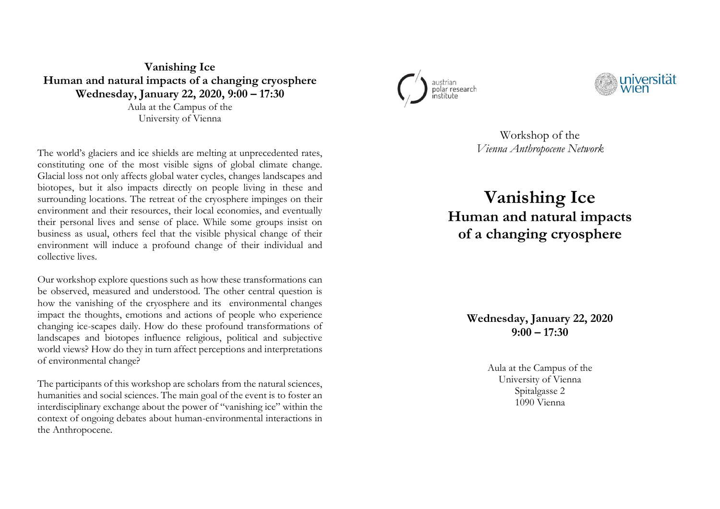**Vanishing Ice Human and natural impacts of a changing cryospher e Wednesday, January 22, 2020, 9:00 – 17:30** Aula at the Campus of the

University of Vienna

The world's glaciers and ice shields are melting at unprecedented rates, constituting one of the most visible signs of global climate change. Glacial loss not only affects global water cycles, changes landscapes and biotopes , but it also impacts directly on people living in these and surrounding locations. The retreat of the cryosphere impinges on their environment and their resources, their local economies, and eventually their personal lives and sense of place. While some groups insist on business as usual, others feel that the visible physical change of their environment will induce a profound change of their individual and collective lives.

Our workshop explore questions such as how these transformations can be observed, measured and understood. The other central question is how the vanishing of the cryosphere and its environmental changes impact the thoughts, emotions and actions of people who experience changing ice -scapes daily. How do these profound transformations of landscapes and biotopes influence religious, political and subjective world views? How do they in turn affect perceptions and interpretations of environmental change?

The participants of this workshop are scholars from the natural sciences, humanities and social sciences. The main goal of the event is to foster an interdisciplinary exchange about the power of "vanishing ice" within the context of ongoing debates about human -environmental interactions in the Anthropocene.





Workshop of the *Vienna Anthropocene Network*

**Vanishing Ice Human and natural impacts of a changing cryosphere**

> **Wednesday, January 22, 2020 9:00 – 17:30**

> > Aula at the Campus of the University of Vienna Spitalgasse 2 1090 Vienna